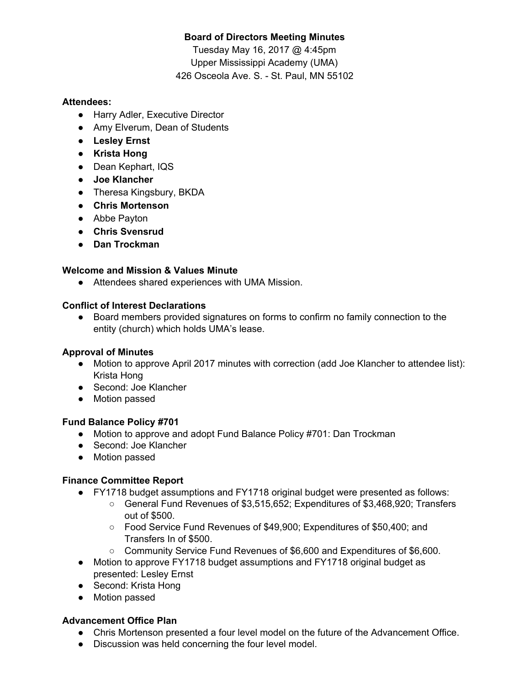## **Board of Directors Meeting Minutes**

Tuesday May 16, 2017 @ 4:45pm Upper Mississippi Academy (UMA) 426 Osceola Ave. S. - St. Paul, MN 55102

## **Attendees:**

- Harry Adler, Executive Director
- Amy Elverum, Dean of Students
- **● Lesley Ernst**
- **● Krista Hong**
- Dean Kephart, IQS
- **● Joe Klancher**
- Theresa Kingsbury, BKDA
- **● Chris Mortenson**
- Abbe Payton
- **● Chris Svensrud**
- **● Dan Trockman**

## **Welcome and Mission & Values Minute**

● Attendees shared experiences with UMA Mission.

### **Conflict of Interest Declarations**

**●** Board members provided signatures on forms to confirm no family connection to the entity (church) which holds UMA's lease.

## **Approval of Minutes**

- Motion to approve April 2017 minutes with correction (add Joe Klancher to attendee list): Krista Hong
- Second: Joe Klancher
- Motion passed

## **Fund Balance Policy #701**

- Motion to approve and adopt Fund Balance Policy #701: Dan Trockman
- Second: Joe Klancher
- Motion passed

# **Finance Committee Report**

- FY1718 budget assumptions and FY1718 original budget were presented as follows:
	- General Fund Revenues of \$3,515,652; Expenditures of \$3,468,920; Transfers out of \$500.
	- Food Service Fund Revenues of \$49,900; Expenditures of \$50,400; and Transfers In of \$500.
	- Community Service Fund Revenues of \$6,600 and Expenditures of \$6,600.
- Motion to approve FY1718 budget assumptions and FY1718 original budget as presented: Lesley Ernst
- Second: Krista Hong
- Motion passed

# **Advancement Office Plan**

- Chris Mortenson presented a four level model on the future of the Advancement Office.
- Discussion was held concerning the four level model.